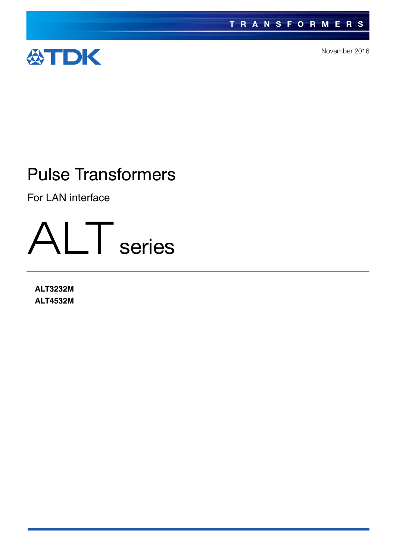

November 2016

## Pulse Transformers

For LAN interface



**ALT3232M ALT4532M**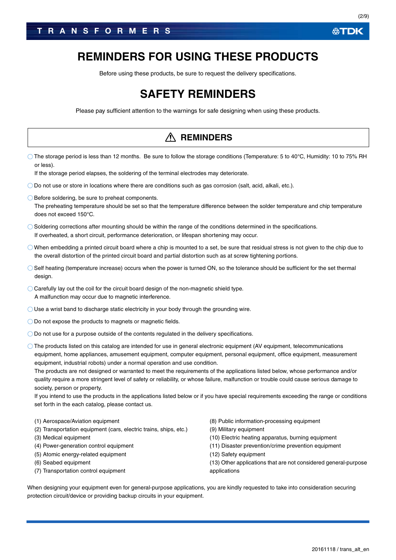### **REMINDERS FOR USING THESE PRODUCTS**

Before using these products, be sure to request the delivery specifications.

## **SAFETY REMINDERS**

Please pay sufficient attention to the warnings for safe designing when using these products.

|                                                                                                                                                                                                                                                                                                                                                                                                                                                                                                                                                                                                                                                                                                                                                                                                                                                                     | <b>REMINDERS</b>                                                                                                                                                                                                                                                                               |
|---------------------------------------------------------------------------------------------------------------------------------------------------------------------------------------------------------------------------------------------------------------------------------------------------------------------------------------------------------------------------------------------------------------------------------------------------------------------------------------------------------------------------------------------------------------------------------------------------------------------------------------------------------------------------------------------------------------------------------------------------------------------------------------------------------------------------------------------------------------------|------------------------------------------------------------------------------------------------------------------------------------------------------------------------------------------------------------------------------------------------------------------------------------------------|
| $\circ$ The storage period is less than 12 months. Be sure to follow the storage conditions (Temperature: 5 to 40°C, Humidity: 10 to 75% RH<br>or less).<br>If the storage period elapses, the soldering of the terminal electrodes may deteriorate.                                                                                                                                                                                                                                                                                                                                                                                                                                                                                                                                                                                                                |                                                                                                                                                                                                                                                                                                |
| $\bigcirc$ Do not use or store in locations where there are conditions such as gas corrosion (salt, acid, alkali, etc.).                                                                                                                                                                                                                                                                                                                                                                                                                                                                                                                                                                                                                                                                                                                                            |                                                                                                                                                                                                                                                                                                |
| ◯ Before soldering, be sure to preheat components.<br>The preheating temperature should be set so that the temperature difference between the solder temperature and chip temperature<br>does not exceed 150°C.                                                                                                                                                                                                                                                                                                                                                                                                                                                                                                                                                                                                                                                     |                                                                                                                                                                                                                                                                                                |
| $\bigcirc$ Soldering corrections after mounting should be within the range of the conditions determined in the specifications.<br>If overheated, a short circuit, performance deterioration, or lifespan shortening may occur.                                                                                                                                                                                                                                                                                                                                                                                                                                                                                                                                                                                                                                      |                                                                                                                                                                                                                                                                                                |
| $\bigcirc$ When embedding a printed circuit board where a chip is mounted to a set, be sure that residual stress is not given to the chip due to<br>the overall distortion of the printed circuit board and partial distortion such as at screw tightening portions.                                                                                                                                                                                                                                                                                                                                                                                                                                                                                                                                                                                                |                                                                                                                                                                                                                                                                                                |
| ○ Self heating (temperature increase) occurs when the power is turned ON, so the tolerance should be sufficient for the set thermal<br>design.                                                                                                                                                                                                                                                                                                                                                                                                                                                                                                                                                                                                                                                                                                                      |                                                                                                                                                                                                                                                                                                |
| $\bigcirc$ Carefully lay out the coil for the circuit board design of the non-magnetic shield type.<br>A malfunction may occur due to magnetic interference.                                                                                                                                                                                                                                                                                                                                                                                                                                                                                                                                                                                                                                                                                                        |                                                                                                                                                                                                                                                                                                |
| $\bigcirc$ Use a wrist band to discharge static electricity in your body through the grounding wire.                                                                                                                                                                                                                                                                                                                                                                                                                                                                                                                                                                                                                                                                                                                                                                |                                                                                                                                                                                                                                                                                                |
| $\bigcirc$ Do not expose the products to magnets or magnetic fields.                                                                                                                                                                                                                                                                                                                                                                                                                                                                                                                                                                                                                                                                                                                                                                                                |                                                                                                                                                                                                                                                                                                |
| $\bigcirc$ Do not use for a purpose outside of the contents regulated in the delivery specifications.                                                                                                                                                                                                                                                                                                                                                                                                                                                                                                                                                                                                                                                                                                                                                               |                                                                                                                                                                                                                                                                                                |
| $\circlearrowright$ The products listed on this catalog are intended for use in general electronic equipment (AV equipment, telecommunications<br>equipment, home appliances, amusement equipment, computer equipment, personal equipment, office equipment, measurement<br>equipment, industrial robots) under a normal operation and use condition.<br>The products are not designed or warranted to meet the requirements of the applications listed below, whose performance and/or<br>quality require a more stringent level of safety or reliability, or whose failure, malfunction or trouble could cause serious damage to<br>society, person or property.<br>If you intend to use the products in the applications listed below or if you have special requirements exceeding the range or conditions<br>set forth in the each catalog, please contact us. |                                                                                                                                                                                                                                                                                                |
| (1) Aerospace/Aviation equipment<br>(2) Transportation equipment (cars, electric trains, ships, etc.)<br>(3) Medical equipment<br>(4) Power-generation control equipment<br>(5) Atomic energy-related equipment<br>(6) Seabed equipment<br>(7) Transportation control equipment                                                                                                                                                                                                                                                                                                                                                                                                                                                                                                                                                                                     | (8) Public information-processing equipment<br>(9) Military equipment<br>(10) Electric heating apparatus, burning equipment<br>(11) Disaster prevention/crime prevention equipment<br>(12) Safety equipment<br>(13) Other applications that are not considered general-purpose<br>applications |
| When designing your equipment even for general-purpose applications, you are kindly requested to take into consideration securing<br>protection circuit/device or providing backup circuits in your equipment.                                                                                                                                                                                                                                                                                                                                                                                                                                                                                                                                                                                                                                                      |                                                                                                                                                                                                                                                                                                |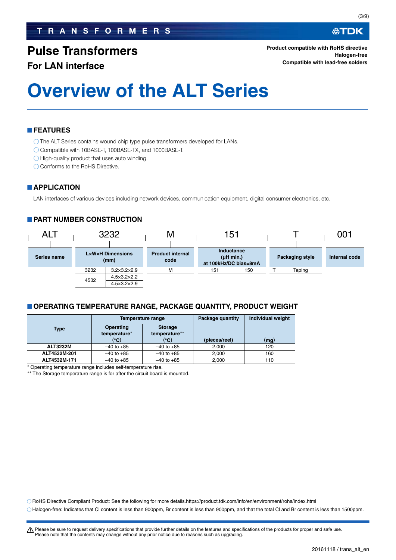### **TRANSFORMERS**

### **Pulse Transformers**

#### **For LAN interface**

**Product compatible with RoHS directive Halogen-free Compatible with lead-free solders**

# **Overview of the ALT Series**

#### **FEATURES**

O The ALT Series contains wound chip type pulse transformers developed for LANs.

- Compatible with 10BASE-T, 100BASE-TX, and 1000BASE-T.
- $\bigcirc$  High-quality product that uses auto winding.
- Conforms to the RoHS Directive.

#### **APPLICATION**

LAN interfaces of various devices including network devices, communication equipment, digital consumer electronics, etc.

#### **PART NUMBER CONSTRUCTION**



#### **OPERATING TEMPERATURE RANGE, PACKAGE QUANTITY, PRODUCT WEIGHT**

|                                          |                | Temperature range               | Package quantity | <b>Individual weight</b> |
|------------------------------------------|----------------|---------------------------------|------------------|--------------------------|
| <b>Operating</b><br>Type<br>temperature* |                | <b>Storage</b><br>temperature** |                  |                          |
|                                          | (°C)           | (°C)                            | (pieces/reel)    | (mg)                     |
| <b>ALT3232M</b>                          | $-40$ to $+85$ | $-40$ to $+85$                  | 2.000            | 120                      |
| ALT4532M-201                             | $-40$ to $+85$ | $-40$ to $+85$                  | 2.000            | 160                      |
| ALT4532M-171                             | $-40$ to $+85$ | $-40$ to $+85$                  | 2,000            | 110                      |

Operating temperature range includes self-temperature rise.

\*\* The Storage temperature range is for after the circuit board is mounted.

RoHS Directive Compliant Product: See the following for more details.https://product.tdk.com/info/en/environment/rohs/index.html

Halogen-free: Indicates that Cl content is less than 900ppm, Br content is less than 900ppm, and that the total Cl and Br content is less than 1500ppm.

∰TDK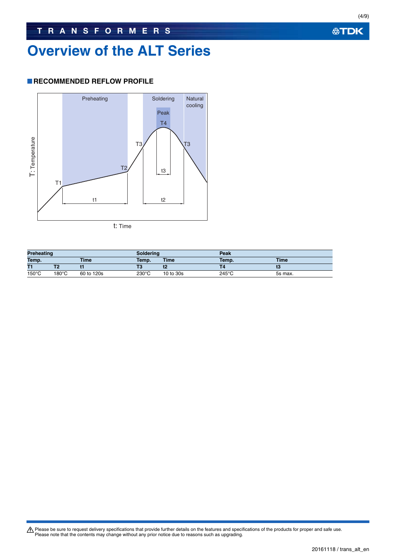## **Overview of the ALT Series**

#### **RECOMMENDED REFLOW PROFILE**



**Preheating Soldering Peak Temp. Time Temp. Time Temp. Time T1 T2 t1 T3 t2 T4 t3**  $150^{\circ}\text{C}$   $180^{\circ}\text{C}$  60 to 120s 230°C 10 to 30s 245°C 5s max.

**公TDK** 

(4/9)

Please be sure to request delivery specifications that provide further details on the features and specifications of the products for proper and safe use.<br>Please note that the contents may change without any prior notice d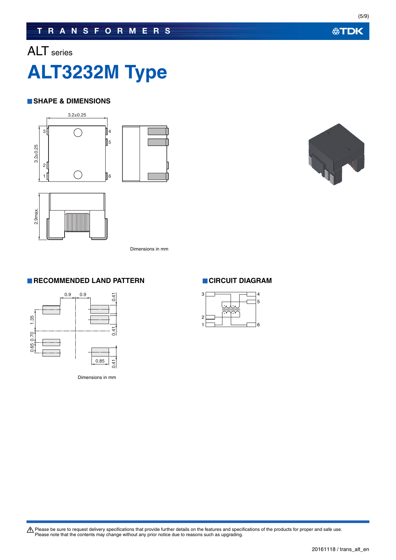## ALT series



#### **SHAPE & DIMENSIONS**





Dimensions in mm

#### **RECOMMENDED LAND PATTERN CIRCUIT DIAGRAM**



Dimensions in mm



(5/9)

Please be sure to request delivery specifications that provide further details on the features and specifications of the products for proper and safe use.<br>Please note that the contents may change without any prior notice d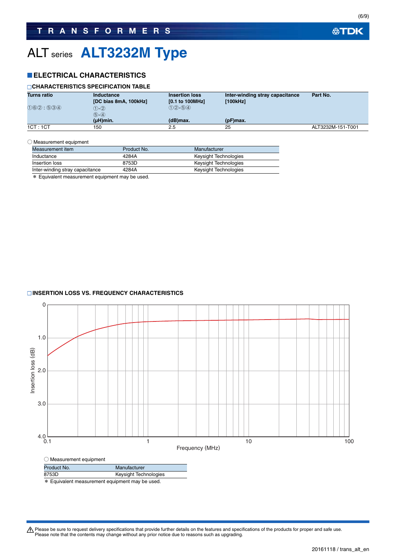### **TRANSFORMERS**

## ALT series **ALT3232M Type**

#### **ELECTRICAL CHARACTERISTICS**

#### **CHARACTERISTICS SPECIFICATION TABLE**

| <b>Turns ratio</b>                    | Inductance<br>[DC bias 8mA, 100kHz] | <b>Insertion loss</b><br>$[0.1$ to 100MHz] | Inter-winding stray capacitance<br>[100kHz] | Part No.          |
|---------------------------------------|-------------------------------------|--------------------------------------------|---------------------------------------------|-------------------|
| $(1)$ $(6)$ $(2)$ ; $(5)$ $(3)$ $(4)$ | $(1) - (2)$<br>$(5)-(4)$            | $(1)(2) - (5)(4)$                          |                                             |                   |
|                                       | (µH)min.                            | $(d)$ max.                                 | $(pF)$ max.                                 |                   |
| 1CT:1CT                               | 150                                 | 2.5                                        | 25                                          | ALT3232M-151-T001 |

#### ○ Measurement equipment

| Measurement item                | Product No. | Manufacturer          |
|---------------------------------|-------------|-----------------------|
| Inductance                      | 4284A       | Keysight Technologies |
| Insertion loss                  | 8753D       | Keysight Technologies |
| Inter-winding stray capacitance | 4284A       | Keysight Technologies |

\* Equivalent measurement equipment may be used.

#### **INSERTION LOSS VS. FREQUENCY CHARACTERISTICS**



\* Equivalent measurement equipment may be used.

Please be sure to request delivery specifications that provide further details on the features and specifications of the products for proper and safe use.<br>Please note that the contents may change without any prior notice d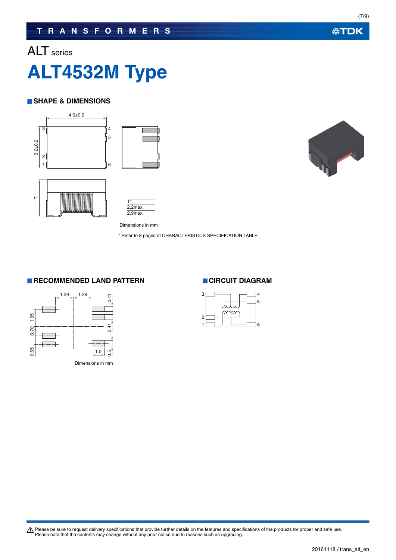## ALT series

# **ALT4532M Type**

#### **SHAPE & DIMENSIONS**





Dimensions in mm 2.9max.

2.2max.

\* Refer to 8 pages of CHARACTERISTICS SPECIFICATION TABLE.

#### **RECOMMENDED LAND PATTERN CIRCUIT DIAGRAM**





Please be sure to request delivery specifications that provide further details on the features and specifications of the products for proper and safe use.<br>Please note that the contents may change without any prior notice d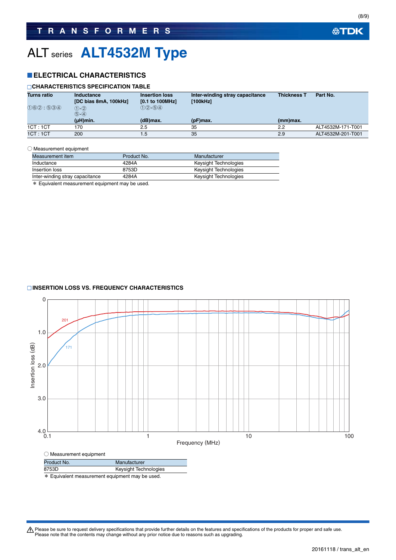## ALT series **ALT4532M Type**

#### **ELECTRICAL CHARACTERISTICS**

#### **CHARACTERISTICS SPECIFICATION TABLE**

| <b>Turns ratio</b> | Inductance<br><b>Insertion loss</b><br>[DC bias 8mA, 100kHz]<br>$[0.1$ to 100MHz] |                   | Inter-winding stray capacitance<br>[100kHz] | <b>Thickness T</b> | Part No.          |  |
|--------------------|-----------------------------------------------------------------------------------|-------------------|---------------------------------------------|--------------------|-------------------|--|
| (1)6(2) : 5(3)(4)  | $(1) - (2)$<br>$(5)-(4)$                                                          | $(1)(2) - (5)(4)$ |                                             |                    |                   |  |
|                    | $(\mu H)$ min.                                                                    | (dB)max.          | $(pF)$ max.                                 | (mm)max.           |                   |  |
| 1CT:1CT            | 170                                                                               | 2.5               | 35                                          | 2.2                | ALT4532M-171-T001 |  |
| 1CT:1CT            | 200                                                                               | 1.5               | 35                                          | 2.9                | ALT4532M-201-T001 |  |

#### ○ Measurement equipment

| Measurement item                | Product No. | Manufacturer          |
|---------------------------------|-------------|-----------------------|
| Inductance                      | 4284A       | Keysight Technologies |
| Insertion loss                  | 8753D       | Keysight Technologies |
| Inter-winding stray capacitance | 4284A       | Keysight Technologies |

\* Equivalent measurement equipment may be used.

#### **INSERTION LOSS VS. FREQUENCY CHARACTERISTICS**



\* Equivalent measurement equipment may be used.

Please be sure to request delivery specifications that provide further details on the features and specifications of the products for proper and safe use.<br>Please note that the contents may change without any prior notice d